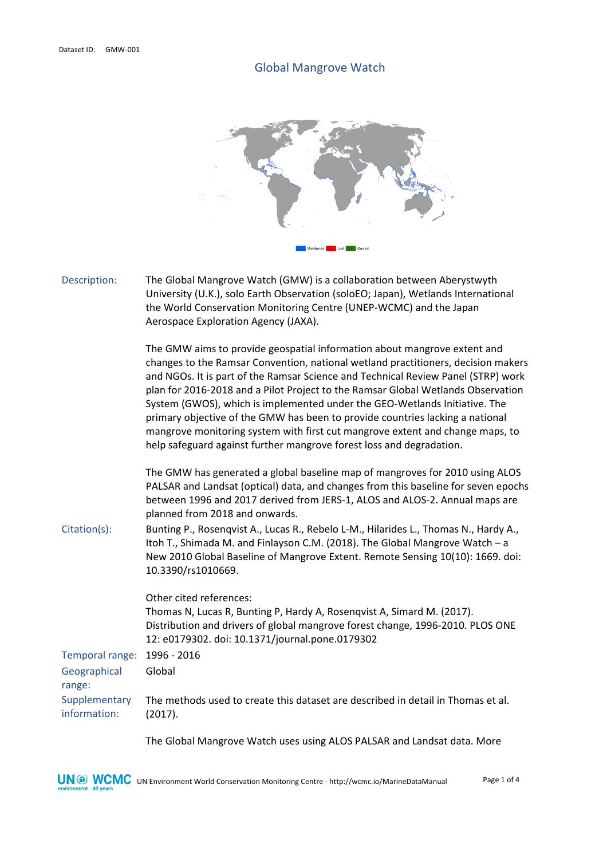## Global Mangrove Watch



Description: The Global Mangrove Watch (GMW) is a collaboration between Aberystwyth University (U.K.), solo Earth Observation (soloEO; Japan), Wetlands International the World Conservation Monitoring Centre (UNEP-WCMC) and the Japan Aerospace Exploration Agency (JAXA). The GMW aims to provide geospatial information about mangrove extent and changes to the Ramsar Convention, national wetland practitioners, decision makers and NGOs. It is part of the Ramsar Science and Technical Review Panel (STRP) work

plan for 2016-2018 and a Pilot Project to the Ramsar Global Wetlands Observation System (GWOS), which is implemented under the GEO-Wetlands Initiative. The primary objective of the GMW has been to provide countries lacking a national mangrove monitoring system with first cut mangrove extent and change maps, to help safeguard against further mangrove forest loss and degradation.

The GMW has generated a global baseline map of mangroves for 2010 using ALOS PALSAR and Landsat (optical) data, and changes from this baseline for seven epochs between 1996 and 2017 derived from JERS-1, ALOS and ALOS-2. Annual maps are planned from 2018 and onwards.

Citation(s): Bunting P., Rosenqvist A., Lucas R., Rebelo L-M., Hilarides L., Thomas N., Hardy A., Itoh T., Shimada M. and Finlayson C.M. (2018). The Global Mangrove Watch – a New 2010 Global Baseline of Mangrove Extent. Remote Sensing 10(10): 1669. doi: 10.3390/rs1010669.

Temporal range: 1996 - 2016 Geographical range: Global Other cited references: Thomas N, Lucas R, Bunting P, Hardy A, Rosenqvist A, Simard M. (2017). Distribution and drivers of global mangrove forest change, 1996-2010. PLOS ONE 12: e0179302. doi: 10.1371/journal.pone.0179302

**Supplementary** information: The methods used to create this dataset are described in detail in Thomas et al. (2017).

The Global Mangrove Watch uses using ALOS PALSAR and Landsat data. More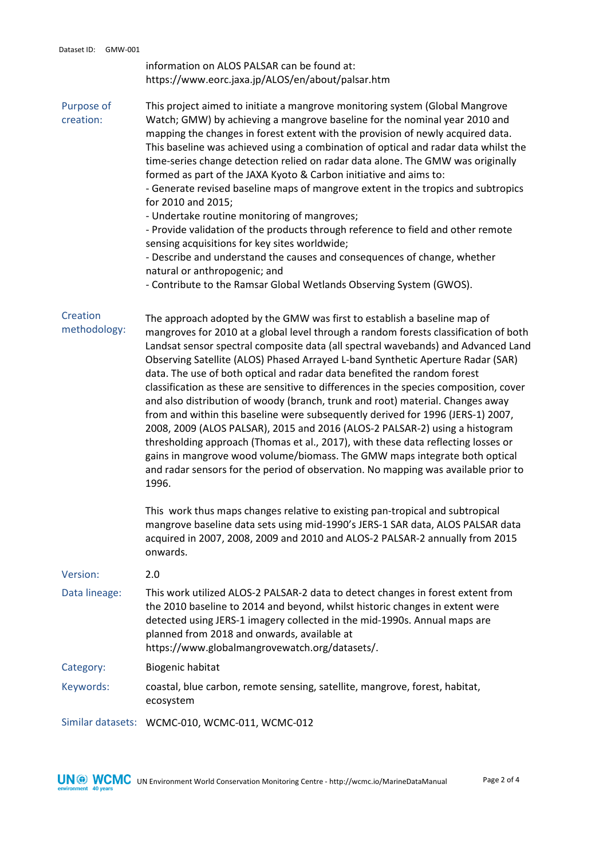information on ALOS PALSAR can be found at: https://www.eorc.jaxa.jp/ALOS/en/about/palsar.htm

Purpose of creation: This project aimed to initiate a mangrove monitoring system (Global Mangrove Watch; GMW) by achieving a mangrove baseline for the nominal year 2010 and mapping the changes in forest extent with the provision of newly acquired data. This baseline was achieved using a combination of optical and radar data whilst the time-series change detection relied on radar data alone. The GMW was originally formed as part of the JAXA Kyoto & Carbon initiative and aims to:

- Generate revised baseline maps of mangrove extent in the tropics and subtropics for 2010 and 2015;

- Undertake routine monitoring of mangroves;

- Provide validation of the products through reference to field and other remote sensing acquisitions for key sites worldwide;

- Describe and understand the causes and consequences of change, whether natural or anthropogenic; and

- Contribute to the Ramsar Global Wetlands Observing System (GWOS).

**Creation** methodology: The approach adopted by the GMW was first to establish a baseline map of mangroves for 2010 at a global level through a random forests classification of both Landsat sensor spectral composite data (all spectral wavebands) and Advanced Land Observing Satellite (ALOS) Phased Arrayed L-band Synthetic Aperture Radar (SAR) data. The use of both optical and radar data benefited the random forest classification as these are sensitive to differences in the species composition, cover and also distribution of woody (branch, trunk and root) material. Changes away from and within this baseline were subsequently derived for 1996 (JERS-1) 2007, 2008, 2009 (ALOS PALSAR), 2015 and 2016 (ALOS-2 PALSAR-2) using a histogram thresholding approach (Thomas et al., 2017), with these data reflecting losses or gains in mangrove wood volume/biomass. The GMW maps integrate both optical and radar sensors for the period of observation. No mapping was available prior to 1996.

> This work thus maps changes relative to existing pan-tropical and subtropical mangrove baseline data sets using mid-1990's JERS-1 SAR data, ALOS PALSAR data acquired in 2007, 2008, 2009 and 2010 and ALOS-2 PALSAR-2 annually from 2015 onwards.

| Version:      | 2.0                                                                                                                                                                                                                                                                                                                                           |
|---------------|-----------------------------------------------------------------------------------------------------------------------------------------------------------------------------------------------------------------------------------------------------------------------------------------------------------------------------------------------|
| Data lineage: | This work utilized ALOS-2 PALSAR-2 data to detect changes in forest extent from<br>the 2010 baseline to 2014 and beyond, whilst historic changes in extent were<br>detected using JERS-1 imagery collected in the mid-1990s. Annual maps are<br>planned from 2018 and onwards, available at<br>https://www.globalmangrovewatch.org/datasets/. |
| Category:     | Biogenic habitat                                                                                                                                                                                                                                                                                                                              |
| Keywords:     | coastal, blue carbon, remote sensing, satellite, mangrove, forest, habitat,<br>ecosystem                                                                                                                                                                                                                                                      |
|               | Similar datasets: WCMC-010, WCMC-011, WCMC-012                                                                                                                                                                                                                                                                                                |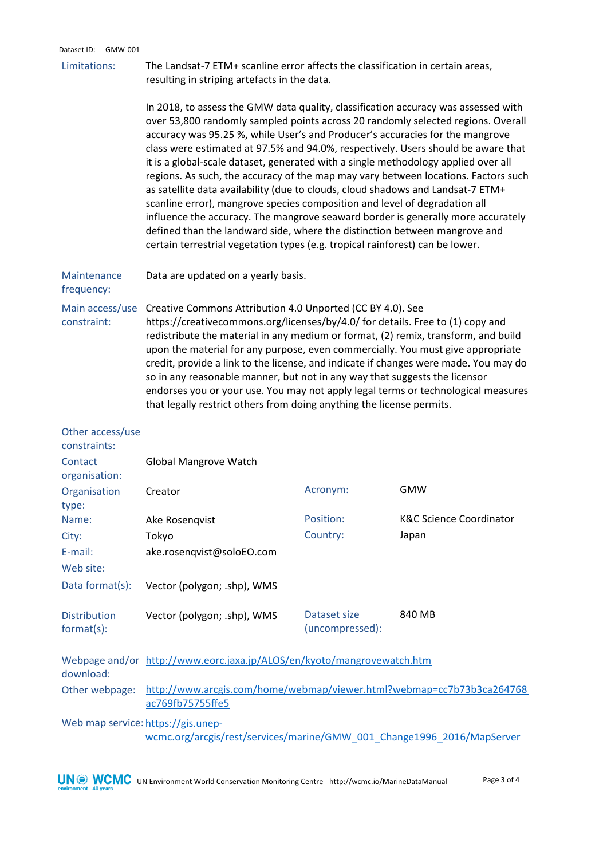## Dataset ID: GMW-001

Limitations: The Landsat-7 ETM+ scanline error affects the classification in certain areas, resulting in striping artefacts in the data.

> In 2018, to assess the GMW data quality, classification accuracy was assessed with over 53,800 randomly sampled points across 20 randomly selected regions. Overall accuracy was 95.25 %, while User's and Producer's accuracies for the mangrove class were estimated at 97.5% and 94.0%, respectively. Users should be aware that it is a global-scale dataset, generated with a single methodology applied over all regions. As such, the accuracy of the map may vary between locations. Factors such as satellite data availability (due to clouds, cloud shadows and Landsat-7 ETM+ scanline error), mangrove species composition and level of degradation all influence the accuracy. The mangrove seaward border is generally more accurately defined than the landward side, where the distinction between mangrove and certain terrestrial vegetation types (e.g. tropical rainforest) can be lower.

## Maintenance Data are updated on a yearly basis.

frequency:

Main access/use Creative Commons Attribution 4.0 Unported (CC BY 4.0). See constraint: https://creativecommons.org/licenses/by/4.0/ for details. Free to (1) copy and redistribute the material in any medium or format, (2) remix, transform, and build upon the material for any purpose, even commercially. You must give appropriate credit, provide a link to the license, and indicate if changes were made. You may do so in any reasonable manner, but not in any way that suggests the licensor endorses you or your use. You may not apply legal terms or technological measures that legally restrict others from doing anything the license permits.

| Other access/use<br>constraints:                                                                             |                                                                                           |                                 |                                    |  |  |
|--------------------------------------------------------------------------------------------------------------|-------------------------------------------------------------------------------------------|---------------------------------|------------------------------------|--|--|
| Contact<br>organisation:                                                                                     | Global Mangrove Watch                                                                     |                                 |                                    |  |  |
| Organisation<br>type:                                                                                        | Creator                                                                                   | Acronym:                        | <b>GMW</b>                         |  |  |
| Name:                                                                                                        | Ake Rosenqvist                                                                            | Position:                       | <b>K&amp;C Science Coordinator</b> |  |  |
| City:                                                                                                        | Tokyo                                                                                     | Country:                        | Japan                              |  |  |
| E-mail:                                                                                                      | ake.rosenqvist@soloEO.com                                                                 |                                 |                                    |  |  |
| Web site:                                                                                                    |                                                                                           |                                 |                                    |  |  |
| Data format(s):                                                                                              | Vector (polygon; .shp), WMS                                                               |                                 |                                    |  |  |
| <b>Distribution</b><br>format(s):                                                                            | Vector (polygon; .shp), WMS                                                               | Dataset size<br>(uncompressed): | 840 MB                             |  |  |
| download:                                                                                                    | Webpage and/or http://www.eorc.jaxa.jp/ALOS/en/kyoto/mangrovewatch.htm                    |                                 |                                    |  |  |
| Other webpage:                                                                                               | http://www.arcgis.com/home/webmap/viewer.html?webmap=cc7b73b3ca264768<br>ac769fb75755ffe5 |                                 |                                    |  |  |
| Web map service: https://gis.unep-<br>wcmc.org/arcgis/rest/services/marine/GMW_001_Change1996_2016/MapServer |                                                                                           |                                 |                                    |  |  |